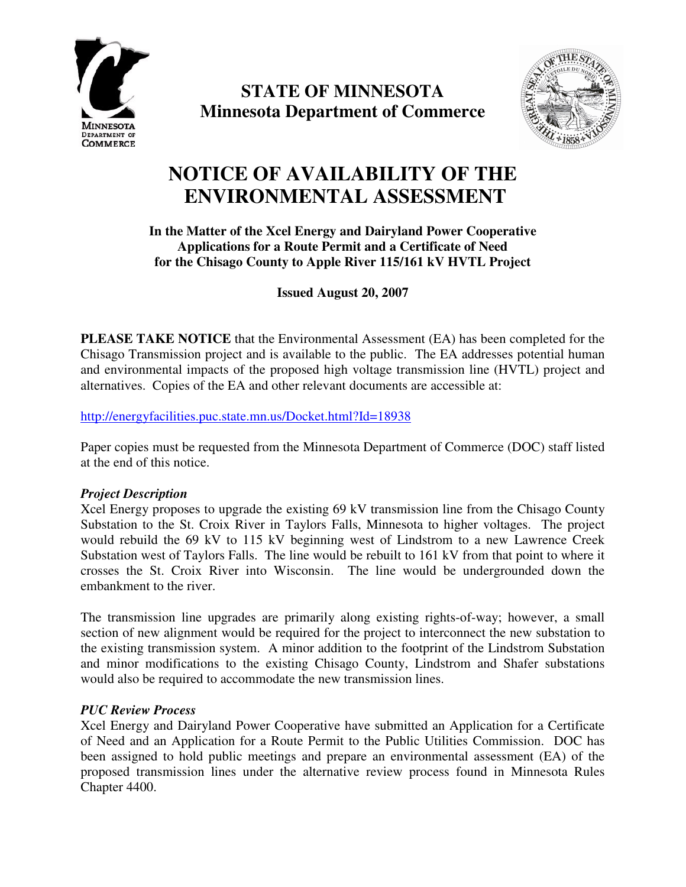

**STATE OF MINNESOTA Minnesota Department of Commerce**



# **NOTICE OF AVAILABILITY OF THE ENVIRONMENTAL ASSESSMENT**

## **In the Matter of the Xcel Energy and Dairyland Power Cooperative Applications for a Route Permit and a Certificate of Need for the Chisago County to Apple River 115/161 kV HVTL Project**

**Issued August 20, 2007**

**PLEASE TAKE NOTICE** that the Environmental Assessment (EA) has been completed for the Chisago Transmission project and is available to the public. The EA addresses potential human and environmental impacts of the proposed high voltage transmission line (HVTL) project and alternatives. Copies of the EA and other relevant documents are accessible at:

http://energyfacilities.puc.state.mn.us/Docket.html?Id=18938

Paper copies must be requested from the Minnesota Department of Commerce (DOC) staff listed at the end of this notice.

### *Project Description*

Xcel Energy proposes to upgrade the existing 69 kV transmission line from the Chisago County Substation to the St. Croix River in Taylors Falls, Minnesota to higher voltages. The project would rebuild the 69 kV to 115 kV beginning west of Lindstrom to a new Lawrence Creek Substation west of Taylors Falls. The line would be rebuilt to 161 kV from that point to where it crosses the St. Croix River into Wisconsin. The line would be undergrounded down the embankment to the river.

The transmission line upgrades are primarily along existing rights-of-way; however, a small section of new alignment would be required for the project to interconnect the new substation to the existing transmission system. A minor addition to the footprint of the Lindstrom Substation and minor modifications to the existing Chisago County, Lindstrom and Shafer substations would also be required to accommodate the new transmission lines.

### *PUC Review Process*

Xcel Energy and Dairyland Power Cooperative have submitted an Application for a Certificate of Need and an Application for a Route Permit to the Public Utilities Commission. DOC has been assigned to hold public meetings and prepare an environmental assessment (EA) of the proposed transmission lines under the alternative review process found in Minnesota Rules Chapter 4400.